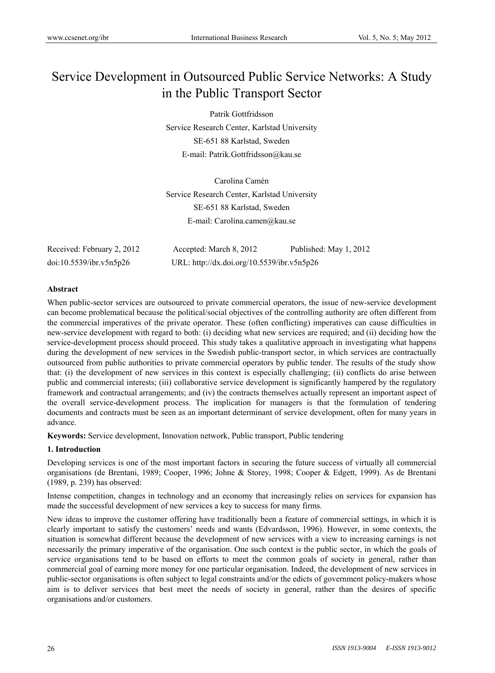# Service Development in Outsourced Public Service Networks: A Study in the Public Transport Sector

Patrik Gottfridsson Service Research Center, Karlstad University SE-651 88 Karlstad, Sweden E-mail: Patrik.Gottfridsson@kau.se

Carolina Camén Service Research Center, Karlstad University SE-651 88 Karlstad, Sweden E-mail: Carolina.camen@kau.se

| Received: February 2, 2012 | Accepted: March 8, 2012                    | Published: May 1, 2012 |
|----------------------------|--------------------------------------------|------------------------|
| doi:10.5539/ibr.v5n5p26    | URL: http://dx.doi.org/10.5539/ibr.v5n5p26 |                        |

# **Abstract**

When public-sector services are outsourced to private commercial operators, the issue of new-service development can become problematical because the political/social objectives of the controlling authority are often different from the commercial imperatives of the private operator. These (often conflicting) imperatives can cause difficulties in new-service development with regard to both: (i) deciding what new services are required; and (ii) deciding how the service-development process should proceed. This study takes a qualitative approach in investigating what happens during the development of new services in the Swedish public-transport sector, in which services are contractually outsourced from public authorities to private commercial operators by public tender. The results of the study show that: (i) the development of new services in this context is especially challenging; (ii) conflicts do arise between public and commercial interests; (iii) collaborative service development is significantly hampered by the regulatory framework and contractual arrangements; and (iv) the contracts themselves actually represent an important aspect of the overall service-development process. The implication for managers is that the formulation of tendering documents and contracts must be seen as an important determinant of service development, often for many years in advance.

**Keywords:** Service development, Innovation network, Public transport, Public tendering

# **1. Introduction**

Developing services is one of the most important factors in securing the future success of virtually all commercial organisations (de Brentani, 1989; Cooper, 1996; Johne & Storey, 1998; Cooper & Edgett, 1999). As de Brentani (1989, p. 239) has observed:

Intense competition, changes in technology and an economy that increasingly relies on services for expansion has made the successful development of new services a key to success for many firms.

New ideas to improve the customer offering have traditionally been a feature of commercial settings, in which it is clearly important to satisfy the customers' needs and wants (Edvardsson, 1996). However, in some contexts, the situation is somewhat different because the development of new services with a view to increasing earnings is not necessarily the primary imperative of the organisation. One such context is the public sector, in which the goals of service organisations tend to be based on efforts to meet the common goals of society in general, rather than commercial goal of earning more money for one particular organisation. Indeed, the development of new services in public-sector organisations is often subject to legal constraints and/or the edicts of government policy-makers whose aim is to deliver services that best meet the needs of society in general, rather than the desires of specific organisations and/or customers.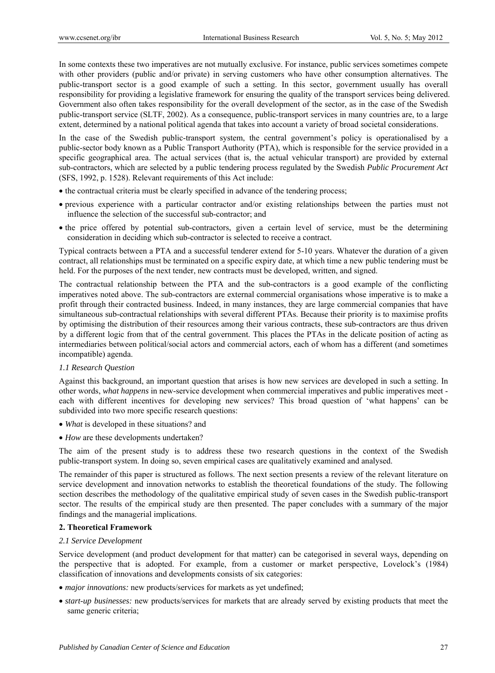In some contexts these two imperatives are not mutually exclusive. For instance, public services sometimes compete with other providers (public and/or private) in serving customers who have other consumption alternatives. The public-transport sector is a good example of such a setting. In this sector, government usually has overall responsibility for providing a legislative framework for ensuring the quality of the transport services being delivered. Government also often takes responsibility for the overall development of the sector, as in the case of the Swedish public-transport service (SLTF, 2002). As a consequence, public-transport services in many countries are, to a large extent, determined by a national political agenda that takes into account a variety of broad societal considerations.

In the case of the Swedish public-transport system, the central government's policy is operationalised by a public-sector body known as a Public Transport Authority (PTA), which is responsible for the service provided in a specific geographical area. The actual services (that is, the actual vehicular transport) are provided by external sub-contractors, which are selected by a public tendering process regulated by the Swedish *Public Procurement Act* (SFS, 1992, p. 1528). Relevant requirements of this Act include:

- the contractual criteria must be clearly specified in advance of the tendering process;
- previous experience with a particular contractor and/or existing relationships between the parties must not influence the selection of the successful sub-contractor; and
- the price offered by potential sub-contractors, given a certain level of service, must be the determining consideration in deciding which sub-contractor is selected to receive a contract.

Typical contracts between a PTA and a successful tenderer extend for 5-10 years. Whatever the duration of a given contract, all relationships must be terminated on a specific expiry date, at which time a new public tendering must be held. For the purposes of the next tender, new contracts must be developed, written, and signed.

The contractual relationship between the PTA and the sub-contractors is a good example of the conflicting imperatives noted above. The sub-contractors are external commercial organisations whose imperative is to make a profit through their contracted business. Indeed, in many instances, they are large commercial companies that have simultaneous sub-contractual relationships with several different PTAs. Because their priority is to maximise profits by optimising the distribution of their resources among their various contracts, these sub-contractors are thus driven by a different logic from that of the central government. This places the PTAs in the delicate position of acting as intermediaries between political/social actors and commercial actors, each of whom has a different (and sometimes incompatible) agenda.

# *1.1 Research Question*

Against this background, an important question that arises is how new services are developed in such a setting. In other words, *what happens* in new-service development when commercial imperatives and public imperatives meet each with different incentives for developing new services? This broad question of 'what happens' can be subdivided into two more specific research questions:

- *What* is developed in these situations? and
- *How* are these developments undertaken?

The aim of the present study is to address these two research questions in the context of the Swedish public-transport system. In doing so, seven empirical cases are qualitatively examined and analysed.

The remainder of this paper is structured as follows. The next section presents a review of the relevant literature on service development and innovation networks to establish the theoretical foundations of the study. The following section describes the methodology of the qualitative empirical study of seven cases in the Swedish public-transport sector. The results of the empirical study are then presented. The paper concludes with a summary of the major findings and the managerial implications.

# **2. Theoretical Framework**

#### *2.1 Service Development*

Service development (and product development for that matter) can be categorised in several ways, depending on the perspective that is adopted. For example, from a customer or market perspective, Lovelock's (1984) classification of innovations and developments consists of six categories:

- *major innovations:* new products/services for markets as yet undefined;
- *start-up businesses:* new products/services for markets that are already served by existing products that meet the same generic criteria;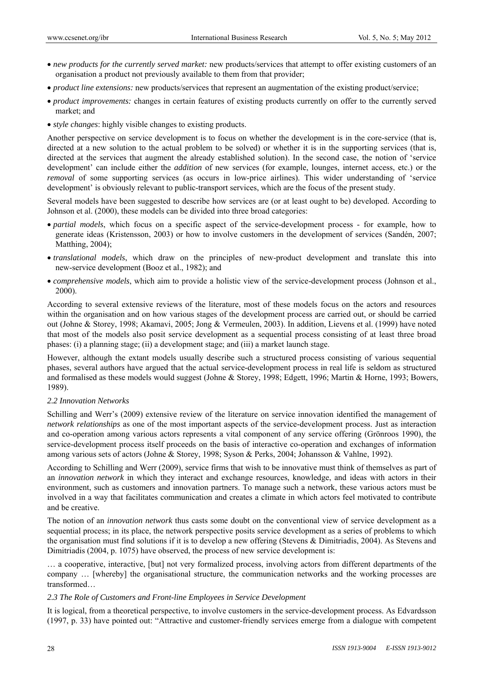- *new products for the currently served market:* new products/services that attempt to offer existing customers of an organisation a product not previously available to them from that provider;
- *product line extensions:* new products/services that represent an augmentation of the existing product/service;
- *product improvements:* changes in certain features of existing products currently on offer to the currently served market; and
- *style changes*: highly visible changes to existing products.

Another perspective on service development is to focus on whether the development is in the core-service (that is, directed at a new solution to the actual problem to be solved) or whether it is in the supporting services (that is, directed at the services that augment the already established solution). In the second case, the notion of 'service development' can include either the *addition* of new services (for example, lounges, internet access, etc.) or the *removal* of some supporting services (as occurs in low-price airlines). This wider understanding of 'service development' is obviously relevant to public-transport services, which are the focus of the present study.

Several models have been suggested to describe how services are (or at least ought to be) developed. According to Johnson et al. (2000), these models can be divided into three broad categories:

- *partial models*, which focus on a specific aspect of the service-development process for example, how to generate ideas (Kristensson, 2003) or how to involve customers in the development of services (Sandén, 2007; Matthing, 2004);
- *translational models*, which draw on the principles of new-product development and translate this into new-service development (Booz et al., 1982); and
- *comprehensive models*, which aim to provide a holistic view of the service-development process (Johnson et al., 2000).

According to several extensive reviews of the literature, most of these models focus on the actors and resources within the organisation and on how various stages of the development process are carried out, or should be carried out (Johne & Storey, 1998; Akamavi, 2005; Jong & Vermeulen, 2003). In addition, Lievens et al. (1999) have noted that most of the models also posit service development as a sequential process consisting of at least three broad phases: (i) a planning stage; (ii) a development stage; and (iii) a market launch stage.

However, although the extant models usually describe such a structured process consisting of various sequential phases, several authors have argued that the actual service-development process in real life is seldom as structured and formalised as these models would suggest (Johne & Storey, 1998; Edgett, 1996; Martin & Horne, 1993; Bowers, 1989).

# *2.2 Innovation Networks*

Schilling and Werr's (2009) extensive review of the literature on service innovation identified the management of *network relationships* as one of the most important aspects of the service-development process. Just as interaction and co-operation among various actors represents a vital component of any service offering (Grönroos 1990), the service-development process itself proceeds on the basis of interactive co-operation and exchanges of information among various sets of actors (Johne & Storey, 1998; Syson & Perks, 2004; Johansson & Vahlne, 1992).

According to Schilling and Werr (2009), service firms that wish to be innovative must think of themselves as part of an *innovation network* in which they interact and exchange resources, knowledge, and ideas with actors in their environment, such as customers and innovation partners. To manage such a network, these various actors must be involved in a way that facilitates communication and creates a climate in which actors feel motivated to contribute and be creative.

The notion of an *innovation network* thus casts some doubt on the conventional view of service development as a sequential process; in its place, the network perspective posits service development as a series of problems to which the organisation must find solutions if it is to develop a new offering (Stevens & Dimitriadis, 2004). As Stevens and Dimitriadis (2004, p. 1075) have observed, the process of new service development is:

 a cooperative, interactive, [but] not very formalized process, involving actors from different departments of the company ... [whereby] the organisational structure, the communication networks and the working processes are transformed

# *2.3 The Role of Customers and Front-line Employees in Service Development*

It is logical, from a theoretical perspective, to involve customers in the service-development process. As Edvardsson (1997, p. 33) have pointed out: "Attractive and customer-friendly services emerge from a dialogue with competent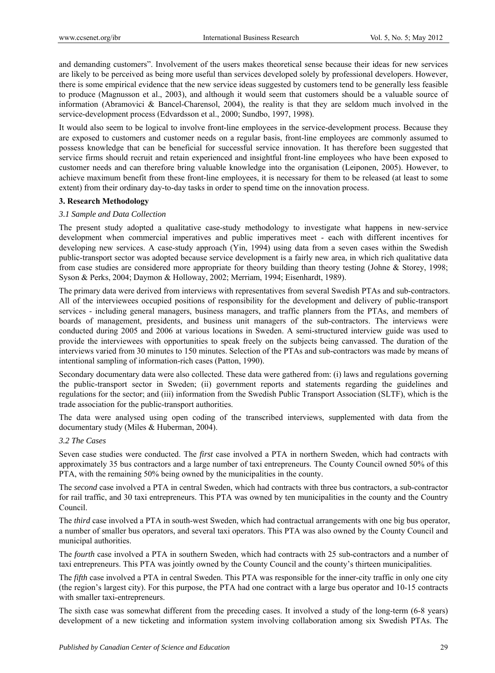and demanding customers". Involvement of the users makes theoretical sense because their ideas for new services are likely to be perceived as being more useful than services developed solely by professional developers. However, there is some empirical evidence that the new service ideas suggested by customers tend to be generally less feasible to produce (Magnusson et al., 2003), and although it would seem that customers should be a valuable source of information (Abramovici & Bancel-Charensol, 2004), the reality is that they are seldom much involved in the service-development process (Edvardsson et al., 2000; Sundbo, 1997, 1998).

It would also seem to be logical to involve front-line employees in the service-development process. Because they are exposed to customers and customer needs on a regular basis, front-line employees are commonly assumed to possess knowledge that can be beneficial for successful service innovation. It has therefore been suggested that service firms should recruit and retain experienced and insightful front-line employees who have been exposed to customer needs and can therefore bring valuable knowledge into the organisation (Leiponen, 2005). However, to achieve maximum benefit from these front-line employees, it is necessary for them to be released (at least to some extent) from their ordinary day-to-day tasks in order to spend time on the innovation process.

# **3. Research Methodology**

# *3.1 Sample and Data Collection*

The present study adopted a qualitative case-study methodology to investigate what happens in new-service development when commercial imperatives and public imperatives meet - each with different incentives for developing new services. A case-study approach (Yin, 1994) using data from a seven cases within the Swedish public-transport sector was adopted because service development is a fairly new area, in which rich qualitative data from case studies are considered more appropriate for theory building than theory testing (Johne & Storey, 1998; Syson & Perks, 2004; Daymon & Holloway, 2002; Merriam, 1994; Eisenhardt, 1989).

The primary data were derived from interviews with representatives from several Swedish PTAs and sub-contractors. All of the interviewees occupied positions of responsibility for the development and delivery of public-transport services - including general managers, business managers, and traffic planners from the PTAs, and members of boards of management, presidents, and business unit managers of the sub-contractors. The interviews were conducted during 2005 and 2006 at various locations in Sweden. A semi-structured interview guide was used to provide the interviewees with opportunities to speak freely on the subjects being canvassed. The duration of the interviews varied from 30 minutes to 150 minutes. Selection of the PTAs and sub-contractors was made by means of intentional sampling of information-rich cases (Patton, 1990).

Secondary documentary data were also collected. These data were gathered from: (i) laws and regulations governing the public-transport sector in Sweden; (ii) government reports and statements regarding the guidelines and regulations for the sector; and (iii) information from the Swedish Public Transport Association (SLTF), which is the trade association for the public-transport authorities.

The data were analysed using open coding of the transcribed interviews, supplemented with data from the documentary study (Miles & Huberman, 2004).

# *3.2 The Cases*

Seven case studies were conducted. The *first* case involved a PTA in northern Sweden, which had contracts with approximately 35 bus contractors and a large number of taxi entrepreneurs. The County Council owned 50% of this PTA, with the remaining 50% being owned by the municipalities in the county.

The *second* case involved a PTA in central Sweden, which had contracts with three bus contractors, a sub-contractor for rail traffic, and 30 taxi entrepreneurs. This PTA was owned by ten municipalities in the county and the Country Council.

The *third* case involved a PTA in south-west Sweden, which had contractual arrangements with one big bus operator, a number of smaller bus operators, and several taxi operators. This PTA was also owned by the County Council and municipal authorities.

The *fourth* case involved a PTA in southern Sweden, which had contracts with 25 sub-contractors and a number of taxi entrepreneurs. This PTA was jointly owned by the County Council and the county's thirteen municipalities.

The *fifth* case involved a PTA in central Sweden. This PTA was responsible for the inner-city traffic in only one city (the region's largest city). For this purpose, the PTA had one contract with a large bus operator and 10-15 contracts with smaller taxi-entrepreneurs.

The sixth case was somewhat different from the preceding cases. It involved a study of the long-term (6-8 years) development of a new ticketing and information system involving collaboration among six Swedish PTAs. The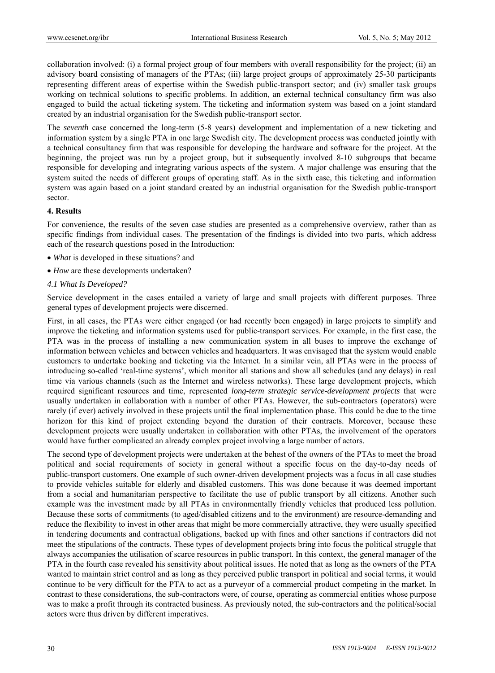collaboration involved: (i) a formal project group of four members with overall responsibility for the project; (ii) an advisory board consisting of managers of the PTAs; (iii) large project groups of approximately 25-30 participants representing different areas of expertise within the Swedish public-transport sector; and (iv) smaller task groups working on technical solutions to specific problems. In addition, an external technical consultancy firm was also engaged to build the actual ticketing system. The ticketing and information system was based on a joint standard created by an industrial organisation for the Swedish public-transport sector.

The *seventh* case concerned the long-term (5-8 years) development and implementation of a new ticketing and information system by a single PTA in one large Swedish city. The development process was conducted jointly with a technical consultancy firm that was responsible for developing the hardware and software for the project. At the beginning, the project was run by a project group, but it subsequently involved 8-10 subgroups that became responsible for developing and integrating various aspects of the system. A major challenge was ensuring that the system suited the needs of different groups of operating staff. As in the sixth case, this ticketing and information system was again based on a joint standard created by an industrial organisation for the Swedish public-transport sector.

#### **4. Results**

For convenience, the results of the seven case studies are presented as a comprehensive overview, rather than as specific findings from individual cases. The presentation of the findings is divided into two parts, which address each of the research questions posed in the Introduction:

- *What* is developed in these situations? and
- *How* are these developments undertaken?

#### *4.1 What Is Developed?*

Service development in the cases entailed a variety of large and small projects with different purposes. Three general types of development projects were discerned.

First, in all cases, the PTAs were either engaged (or had recently been engaged) in large projects to simplify and improve the ticketing and information systems used for public-transport services. For example, in the first case, the PTA was in the process of installing a new communication system in all buses to improve the exchange of information between vehicles and between vehicles and headquarters. It was envisaged that the system would enable customers to undertake booking and ticketing via the Internet. In a similar vein, all PTAs were in the process of introducing so-called 'real-time systems', which monitor all stations and show all schedules (and any delays) in real time via various channels (such as the Internet and wireless networks). These large development projects, which required significant resources and time, represented *long-term strategic service-development projects* that were usually undertaken in collaboration with a number of other PTAs. However, the sub-contractors (operators) were rarely (if ever) actively involved in these projects until the final implementation phase. This could be due to the time horizon for this kind of project extending beyond the duration of their contracts. Moreover, because these development projects were usually undertaken in collaboration with other PTAs, the involvement of the operators would have further complicated an already complex project involving a large number of actors.

The second type of development projects were undertaken at the behest of the owners of the PTAs to meet the broad political and social requirements of society in general without a specific focus on the day-to-day needs of public-transport customers. One example of such owner-driven development projects was a focus in all case studies to provide vehicles suitable for elderly and disabled customers. This was done because it was deemed important from a social and humanitarian perspective to facilitate the use of public transport by all citizens. Another such example was the investment made by all PTAs in environmentally friendly vehicles that produced less pollution. Because these sorts of commitments (to aged/disabled citizens and to the environment) are resource-demanding and reduce the flexibility to invest in other areas that might be more commercially attractive, they were usually specified in tendering documents and contractual obligations, backed up with fines and other sanctions if contractors did not meet the stipulations of the contracts. These types of development projects bring into focus the political struggle that always accompanies the utilisation of scarce resources in public transport. In this context, the general manager of the PTA in the fourth case revealed his sensitivity about political issues. He noted that as long as the owners of the PTA wanted to maintain strict control and as long as they perceived public transport in political and social terms, it would continue to be very difficult for the PTA to act as a purveyor of a commercial product competing in the market. In contrast to these considerations, the sub-contractors were, of course, operating as commercial entities whose purpose was to make a profit through its contracted business. As previously noted, the sub-contractors and the political/social actors were thus driven by different imperatives.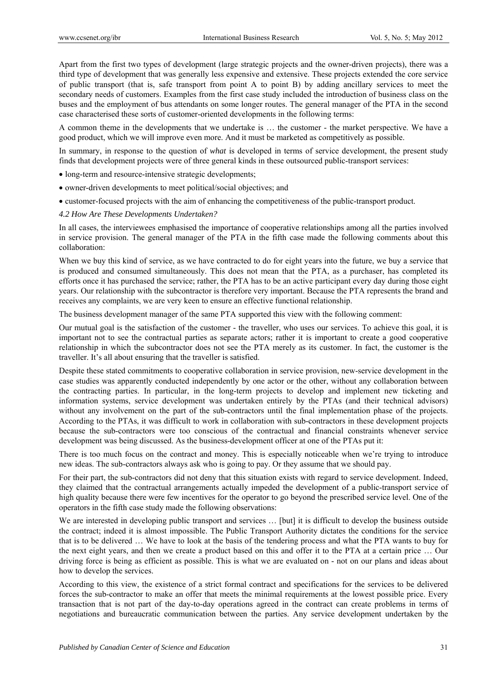Apart from the first two types of development (large strategic projects and the owner-driven projects), there was a third type of development that was generally less expensive and extensive. These projects extended the core service of public transport (that is, safe transport from point A to point B) by adding ancillary services to meet the secondary needs of customers. Examples from the first case study included the introduction of business class on the buses and the employment of bus attendants on some longer routes. The general manager of the PTA in the second case characterised these sorts of customer-oriented developments in the following terms:

A common theme in the developments that we undertake is ... the customer - the market perspective. We have a good product, which we will improve even more. And it must be marketed as competitively as possible.

In summary, in response to the question of *what* is developed in terms of service development, the present study finds that development projects were of three general kinds in these outsourced public-transport services:

- long-term and resource-intensive strategic developments;
- owner-driven developments to meet political/social objectives; and
- customer-focused projects with the aim of enhancing the competitiveness of the public-transport product.

#### *4.2 How Are These Developments Undertaken?*

In all cases, the interviewees emphasised the importance of cooperative relationships among all the parties involved in service provision. The general manager of the PTA in the fifth case made the following comments about this collaboration:

When we buy this kind of service, as we have contracted to do for eight years into the future, we buy a service that is produced and consumed simultaneously. This does not mean that the PTA, as a purchaser, has completed its efforts once it has purchased the service; rather, the PTA has to be an active participant every day during those eight years. Our relationship with the subcontractor is therefore very important. Because the PTA represents the brand and receives any complaints, we are very keen to ensure an effective functional relationship.

The business development manager of the same PTA supported this view with the following comment:

Our mutual goal is the satisfaction of the customer - the traveller, who uses our services. To achieve this goal, it is important not to see the contractual parties as separate actors; rather it is important to create a good cooperative relationship in which the subcontractor does not see the PTA merely as its customer. In fact, the customer is the traveller. It's all about ensuring that the traveller is satisfied.

Despite these stated commitments to cooperative collaboration in service provision, new-service development in the case studies was apparently conducted independently by one actor or the other, without any collaboration between the contracting parties. In particular, in the long-term projects to develop and implement new ticketing and information systems, service development was undertaken entirely by the PTAs (and their technical advisors) without any involvement on the part of the sub-contractors until the final implementation phase of the projects. According to the PTAs, it was difficult to work in collaboration with sub-contractors in these development projects because the sub-contractors were too conscious of the contractual and financial constraints whenever service development was being discussed. As the business-development officer at one of the PTAs put it:

There is too much focus on the contract and money. This is especially noticeable when we're trying to introduce new ideas. The sub-contractors always ask who is going to pay. Or they assume that we should pay.

For their part, the sub-contractors did not deny that this situation exists with regard to service development. Indeed, they claimed that the contractual arrangements actually impeded the development of a public-transport service of high quality because there were few incentives for the operator to go beyond the prescribed service level. One of the operators in the fifth case study made the following observations:

We are interested in developing public transport and services ... [but] it is difficult to develop the business outside the contract; indeed it is almost impossible. The Public Transport Authority dictates the conditions for the service that is to be delivered … We have to look at the basis of the tendering process and what the PTA wants to buy for the next eight years, and then we create a product based on this and offer it to the PTA at a certain price … Our driving force is being as efficient as possible. This is what we are evaluated on - not on our plans and ideas about how to develop the services.

According to this view, the existence of a strict formal contract and specifications for the services to be delivered forces the sub-contractor to make an offer that meets the minimal requirements at the lowest possible price. Every transaction that is not part of the day-to-day operations agreed in the contract can create problems in terms of negotiations and bureaucratic communication between the parties. Any service development undertaken by the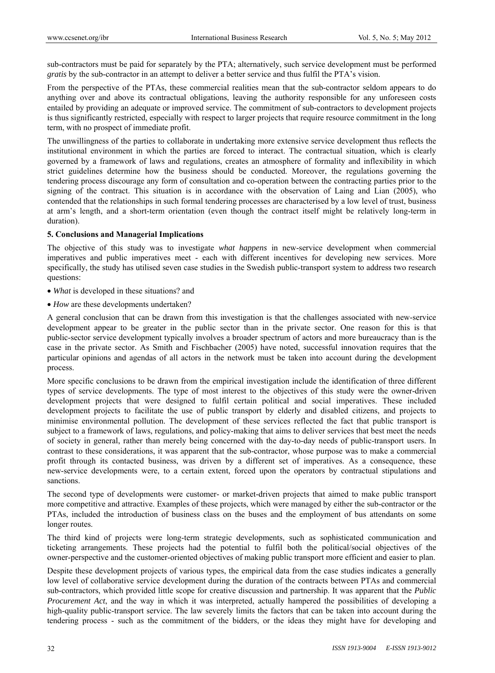sub-contractors must be paid for separately by the PTA; alternatively, such service development must be performed *gratis* by the sub-contractor in an attempt to deliver a better service and thus fulfil the PTA's vision.

From the perspective of the PTAs, these commercial realities mean that the sub-contractor seldom appears to do anything over and above its contractual obligations, leaving the authority responsible for any unforeseen costs entailed by providing an adequate or improved service. The commitment of sub-contractors to development projects is thus significantly restricted, especially with respect to larger projects that require resource commitment in the long term, with no prospect of immediate profit.

The unwillingness of the parties to collaborate in undertaking more extensive service development thus reflects the institutional environment in which the parties are forced to interact. The contractual situation, which is clearly governed by a framework of laws and regulations, creates an atmosphere of formality and inflexibility in which strict guidelines determine how the business should be conducted. Moreover, the regulations governing the tendering process discourage any form of consultation and co-operation between the contracting parties prior to the signing of the contract. This situation is in accordance with the observation of Laing and Lian (2005), who contended that the relationships in such formal tendering processes are characterised by a low level of trust, business at arm's length, and a short-term orientation (even though the contract itself might be relatively long-term in duration).

# **5. Conclusions and Managerial Implications**

The objective of this study was to investigate *what happens* in new-service development when commercial imperatives and public imperatives meet - each with different incentives for developing new services. More specifically, the study has utilised seven case studies in the Swedish public-transport system to address two research questions:

- *What* is developed in these situations? and
- *How* are these developments undertaken?

A general conclusion that can be drawn from this investigation is that the challenges associated with new-service development appear to be greater in the public sector than in the private sector. One reason for this is that public-sector service development typically involves a broader spectrum of actors and more bureaucracy than is the case in the private sector. As Smith and Fischbacher (2005) have noted, successful innovation requires that the particular opinions and agendas of all actors in the network must be taken into account during the development process.

More specific conclusions to be drawn from the empirical investigation include the identification of three different types of service developments. The type of most interest to the objectives of this study were the owner-driven development projects that were designed to fulfil certain political and social imperatives. These included development projects to facilitate the use of public transport by elderly and disabled citizens, and projects to minimise environmental pollution. The development of these services reflected the fact that public transport is subject to a framework of laws, regulations, and policy-making that aims to deliver services that best meet the needs of society in general, rather than merely being concerned with the day-to-day needs of public-transport users. In contrast to these considerations, it was apparent that the sub-contractor, whose purpose was to make a commercial profit through its contacted business, was driven by a different set of imperatives. As a consequence, these new-service developments were, to a certain extent, forced upon the operators by contractual stipulations and sanctions.

The second type of developments were customer- or market-driven projects that aimed to make public transport more competitive and attractive. Examples of these projects, which were managed by either the sub-contractor or the PTAs, included the introduction of business class on the buses and the employment of bus attendants on some longer routes.

The third kind of projects were long-term strategic developments, such as sophisticated communication and ticketing arrangements. These projects had the potential to fulfil both the political/social objectives of the owner-perspective and the customer-oriented objectives of making public transport more efficient and easier to plan.

Despite these development projects of various types, the empirical data from the case studies indicates a generally low level of collaborative service development during the duration of the contracts between PTAs and commercial sub-contractors, which provided little scope for creative discussion and partnership. It was apparent that the *Public Procurement Act*, and the way in which it was interpreted, actually hampered the possibilities of developing a high-quality public-transport service. The law severely limits the factors that can be taken into account during the tendering process - such as the commitment of the bidders, or the ideas they might have for developing and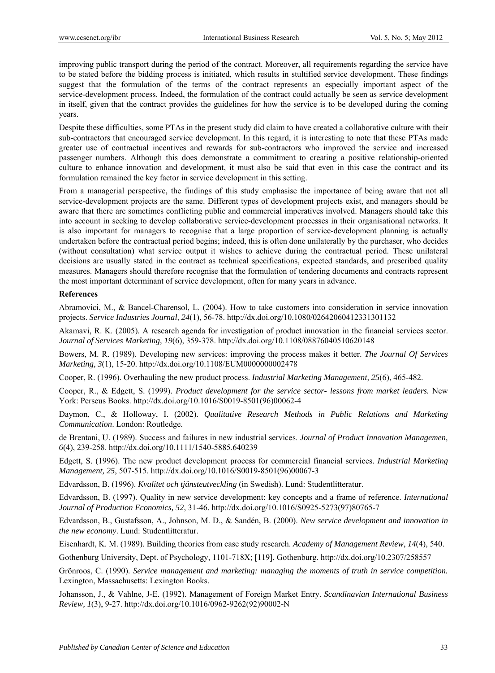improving public transport during the period of the contract. Moreover, all requirements regarding the service have to be stated before the bidding process is initiated, which results in stultified service development. These findings suggest that the formulation of the terms of the contract represents an especially important aspect of the service-development process. Indeed, the formulation of the contract could actually be seen as service development in itself, given that the contract provides the guidelines for how the service is to be developed during the coming years.

Despite these difficulties, some PTAs in the present study did claim to have created a collaborative culture with their sub-contractors that encouraged service development. In this regard, it is interesting to note that these PTAs made greater use of contractual incentives and rewards for sub-contractors who improved the service and increased passenger numbers. Although this does demonstrate a commitment to creating a positive relationship-oriented culture to enhance innovation and development, it must also be said that even in this case the contract and its formulation remained the key factor in service development in this setting.

From a managerial perspective, the findings of this study emphasise the importance of being aware that not all service-development projects are the same. Different types of development projects exist, and managers should be aware that there are sometimes conflicting public and commercial imperatives involved. Managers should take this into account in seeking to develop collaborative service-development processes in their organisational networks. It is also important for managers to recognise that a large proportion of service-development planning is actually undertaken before the contractual period begins; indeed, this is often done unilaterally by the purchaser, who decides (without consultation) what service output it wishes to achieve during the contractual period. These unilateral decisions are usually stated in the contract as technical specifications, expected standards, and prescribed quality measures. Managers should therefore recognise that the formulation of tendering documents and contracts represent the most important determinant of service development, often for many years in advance.

#### **References**

Abramovici, M., & Bancel-Charensol, L. (2004). How to take customers into consideration in service innovation projects. *Service Industries Journal, 24*(1), 56-78. http://dx.doi.org/10.1080/02642060412331301132

Akamavi, R. K. (2005). A research agenda for investigation of product innovation in the financial services sector. *Journal of Services Marketing, 19*(6), 359-378. http://dx.doi.org/10.1108/08876040510620148

Bowers, M. R. (1989). Developing new services: improving the process makes it better. *The Journal Of Services Marketing, 3*(1), 15-20. http://dx.doi.org/10.1108/EUM0000000002478

Cooper, R. (1996). Overhauling the new product process. *Industrial Marketing Management, 25*(6), 465-482.

Cooper, R., & Edgett, S. (1999). *Product development for the service sector- lessons from market leaders.* New York: Perseus Books. http://dx.doi.org/10.1016/S0019-8501(96)00062-4

Daymon, C., & Holloway, I. (2002). *Qualitative Research Methods in Public Relations and Marketing Communication*. London: Routledge.

de Brentani, U. (1989). Success and failures in new industrial services. *Journal of Product Innovation Managemen, 6*(4), 239-258. http://dx.doi.org/10.1111/1540-5885.640239

Edgett, S. (1996). The new product development process for commercial financial services. *Industrial Marketing Management, 25*, 507-515. http://dx.doi.org/10.1016/S0019-8501(96)00067-3

Edvardsson, B. (1996). *Kvalitet och tjänsteutveckling* (in Swedish). Lund: Studentlitteratur.

Edvardsson, B. (1997). Quality in new service development: key concepts and a frame of reference. *International Journal of Production Economics, 52*, 31-46. http://dx.doi.org/10.1016/S0925-5273(97)80765-7

Edvardsson, B., Gustafsson, A., Johnson, M. D., & Sandén, B. (2000). *New service development and innovation in the new economy*. Lund: Studentlitteratur.

Eisenhardt, K. M. (1989). Building theories from case study research. *Academy of Management Review*, *14*(4), 540.

Gothenburg University, Dept. of Psychology, 1101-718X; [119], Gothenburg. http://dx.doi.org/10.2307/258557

Grönroos, C. (1990). *Service management and marketing: managing the moments of truth in service competition.* Lexington, Massachusetts: Lexington Books.

Johansson, J., & Vahlne, J-E. (1992). Management of Foreign Market Entry. *Scandinavian International Business Review, 1*(3), 9-27. http://dx.doi.org/10.1016/0962-9262(92)90002-N